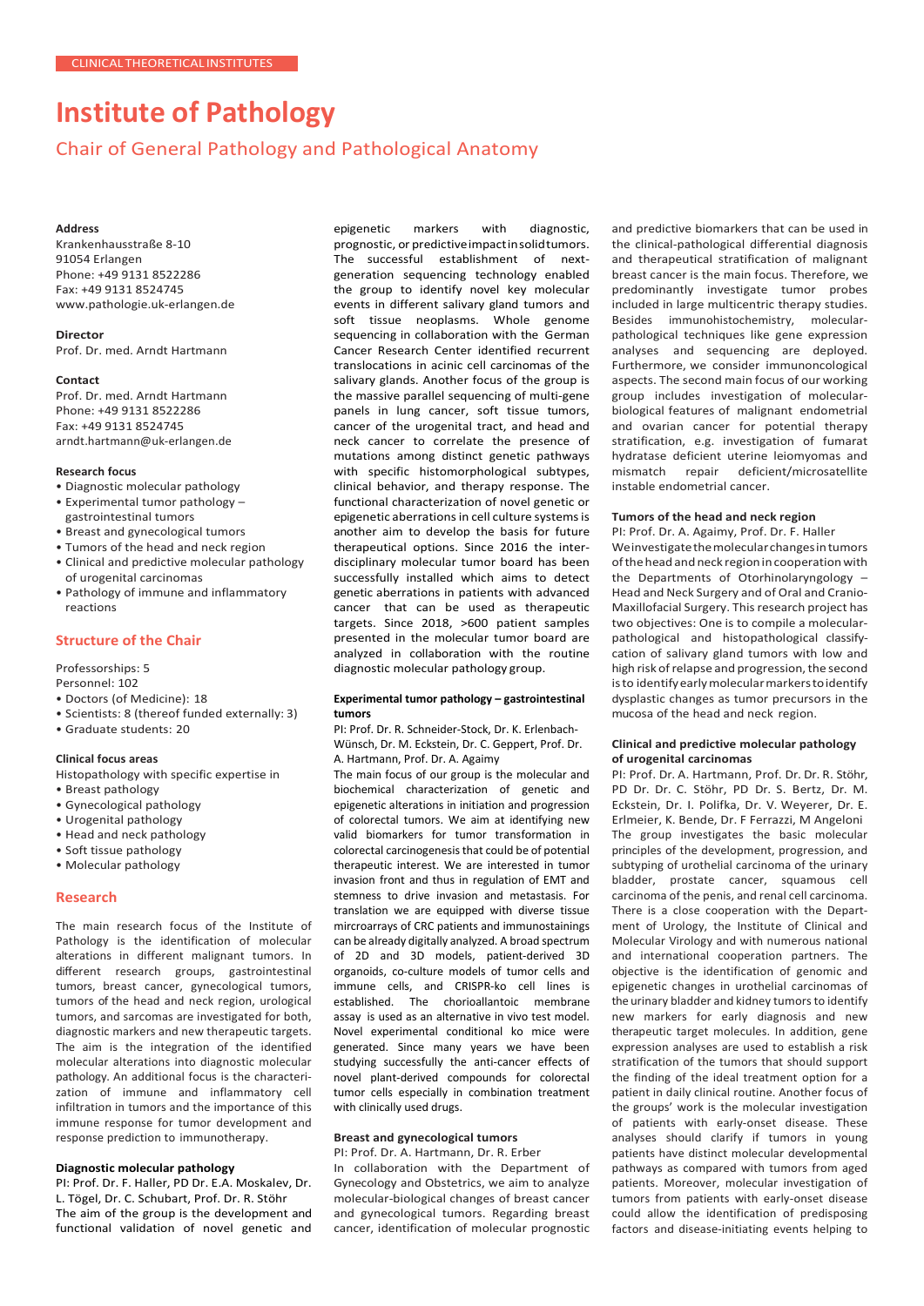# **Institute of Pathology**

# Chair of General Pathology and Pathological Anatomy

#### **Address**

Krankenhausstraße 8-10 91054 Erlangen Phone: +49 9131 8522286 Fax: +49 9131 8524745 [www.pathologie.uk-erlangen.de](http://www.pathologie.uk-erlangen.de/)

**Director** Prof. Dr. med. Arndt Hartmann

#### **Contact**

Prof. Dr. med. Arndt Hartmann Phone: +49 9131 8522286 Fax: +49 9131 8524745 [arndt.hartmann@uk-erlangen.de](mailto:arndt.hartmann@uk-erlangen.de)

#### **Research focus**

- Diagnostic molecular pathology
- Experimental tumor pathology gastrointestinal tumors
- Breast and gynecological tumors
- Tumors of the head and neck region
- Clinical and predictive molecular pathology of urogenital carcinomas
- Pathology of immune and inflammatory reactions

# **Structure of the Chair**

Professorships: 5

Personnel: 102

- Doctors (of Medicine): 18
- Scientists: 8 (thereof funded externally: 3)
- Graduate students: 20

## **Clinical focus areas**

- Histopathology with specific expertise in
- Breast pathology
- Gynecological pathology
- Urogenital pathology
- Head and neck pathology
- Soft tissue pathology
- Molecular pathology

### **Research**

The main research focus of the Institute of Pathology is the identification of molecular alterations in different malignant tumors. In different research groups, gastrointestinal tumors, breast cancer, gynecological tumors, tumors of the head and neck region, urological tumors, and sarcomas are investigated for both, diagnostic markers and new therapeutic targets. The aim is the integration of the identified molecular alterations into diagnostic molecular pathology. An additional focus is the characterization of immune and inflammatory cell infiltration in tumors and the importance of this immune response for tumor development and response prediction to immunotherapy.

#### **Diagnostic molecular pathology**

PI: Prof. Dr. F. Haller, PD Dr. E.A. Moskalev, Dr. L. Tögel, Dr. C. Schubart, Prof. Dr. R. Stöhr The aim of the group is the development and functional validation of novel genetic and epigenetic markers with diagnostic, prognostic, or predictiveimpactinsolidtumors. The successful establishment of nextgeneration sequencing technology enabled the group to identify novel key molecular events in different salivary gland tumors and soft tissue neoplasms. Whole genome sequencing in collaboration with the German Cancer Research Center identified recurrent translocations in acinic cell carcinomas of the salivary glands. Another focus of the group is the massive parallel sequencing of multi-gene panels in lung cancer, soft tissue tumors, cancer of the urogenital tract, and head and neck cancer to correlate the presence of mutations among distinct genetic pathways with specific histomorphological subtypes, clinical behavior, and therapy response. The functional characterization of novel genetic or epigenetic aberrations in cell culture systems is another aim to develop the basis for future therapeutical options. Since 2016 the interdisciplinary molecular tumor board has been successfully installed which aims to detect genetic aberrations in patients with advanced cancer that can be used as therapeutic targets. Since 2018, >600 patient samples presented in the molecular tumor board are analyzed in collaboration with the routine diagnostic molecular pathology group.

#### **Experimental tumor pathology – gastrointestinal tumors**

PI: Prof. Dr. R. Schneider-Stock, Dr. K. Erlenbach-Wünsch, Dr. M. Eckstein, Dr. C. Geppert, Prof. Dr. A. Hartmann, Prof. Dr. A. Agaimy

The main focus of our group is the molecular and biochemical characterization of genetic and epigenetic alterations in initiation and progression of colorectal tumors. We aim at identifying new valid biomarkers for tumor transformation in colorectal carcinogenesis that could be of potential therapeutic interest. We are interested in tumor invasion front and thus in regulation of EMT and stemness to drive invasion and metastasis. For translation we are equipped with diverse tissue mircroarrays of CRC patients and immunostainings can be already digitally analyzed. A broad spectrum of 2D and 3D models, patient-derived 3D organoids, co-culture models of tumor cells and immune cells, and CRISPR-ko cell lines is established. The chorioallantoic membrane assay is used as an alternative in vivo test model. Novel experimental conditional ko mice were generated. Since many years we have been studying successfully the anti-cancer effects of novel plant-derived compounds for colorectal tumor cells especially in combination treatment with clinically used drugs.

# **Breast and gynecological tumors**

PI: Prof. Dr. A. Hartmann, Dr. R. Erber In collaboration with the Department of Gynecology and Obstetrics, we aim to analyze molecular-biological changes of breast cancer and gynecological tumors. Regarding breast cancer, identification of molecular prognostic

and predictive biomarkers that can be used in the clinical-pathological differential diagnosis and therapeutical stratification of malignant breast cancer is the main focus. Therefore, we predominantly investigate tumor probes included in large multicentric therapy studies. Besides immunohistochemistry, molecularpathological techniques like gene expression analyses and sequencing are deployed. Furthermore, we consider immunoncological aspects. The second main focus of our working group includes investigation of molecularbiological features of malignant endometrial and ovarian cancer for potential therapy stratification, e.g. investigation of fumarat hydratase deficient uterine leiomyomas and mismatch repair deficient/microsatellite instable endometrial cancer.

#### **Tumors of the head and neck region**

PI: Prof. Dr. A. Agaimy, Prof. Dr. F. Haller Weinvestigatethemolecularchangesintumors of the head and neck region in cooperation with the Departments of Otorhinolaryngology – Head and Neck Surgery and of Oral and Cranio-Maxillofacial Surgery. Thisresearch project has two objectives: One is to compile a molecularpathological and histopathological classifycation of salivary gland tumors with low and high risk of relapse and progression, the second isto identifyearlymolecularmarkerstoidentify dysplastic changes as tumor precursors in the mucosa of the head and neck region.

#### **Clinical and predictive molecular pathology of urogenital carcinomas**

PI: Prof. Dr. A. Hartmann, Prof. Dr. Dr. R. Stöhr, PD Dr. Dr. C. Stöhr, PD Dr. S. Bertz, Dr. M. Eckstein, Dr. I. Polifka, Dr. V. Weyerer, Dr. E. Erlmeier, K. Bende, Dr. F Ferrazzi, M Angeloni The group investigates the basic molecular principles of the development, progression, and subtyping of urothelial carcinoma of the urinary bladder, prostate cancer, squamous cell carcinoma of the penis, and renal cell carcinoma. There is a close cooperation with the Department of Urology, the Institute of Clinical and Molecular Virology and with numerous national and international cooperation partners. The objective is the identification of genomic and epigenetic changes in urothelial carcinomas of the urinary bladder and kidney tumors to identify new markers for early diagnosis and new therapeutic target molecules. In addition, gene expression analyses are used to establish a risk stratification of the tumors that should support the finding of the ideal treatment option for a patient in daily clinical routine. Another focus of the groups' work is the molecular investigation of patients with early-onset disease. These analyses should clarify if tumors in young patients have distinct molecular developmental pathways as compared with tumors from aged patients. Moreover, molecular investigation of tumors from patients with early-onset disease could allow the identification of predisposing factors and disease-initiating events helping to